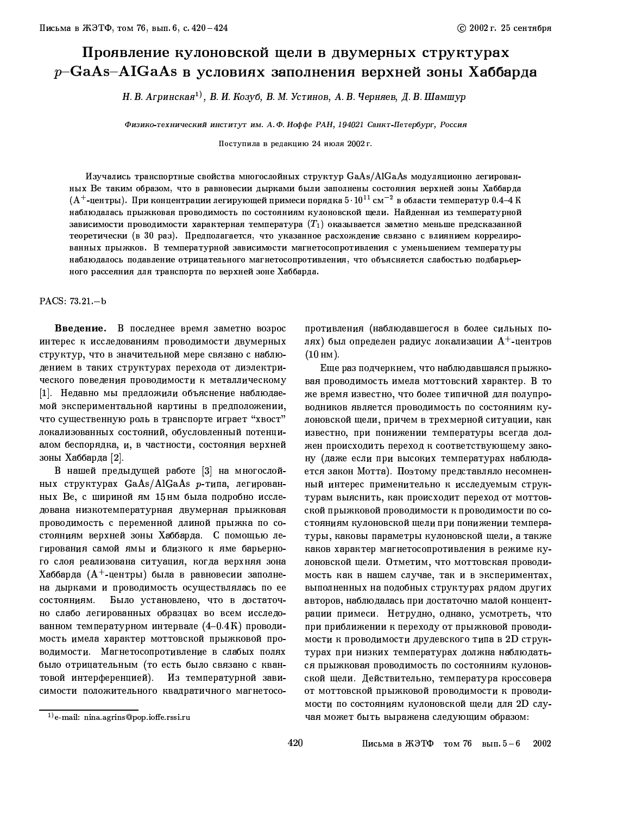## Проявление кулоновской щели в двумерных структурах  $p$ – $GaAs-AIGaAs$  в условиях заполнения верхней зоны Хаббарда

Н. В. Агринская<sup>1)</sup>, В. И. Козуб, В. М. Устинов, А. В. Черняев, Д. В. Шамшур

Физико-технический институт им. А. Ф. Иоффе РАН, 194021 Санкт-Петербург, Россия

Поступила в редакцию 24 июля 2002 г.

Изучались транспортные свойства многослойных структур GaAs/AlGaAs модуляционно легированных Ве таким образом, что в равновесии дырками были заполнены состояния верхней зоны Хаббарда  $(A^+$ -центры). При концентрации легирующей примеси порядка 5  $\cdot 10^{11}$  см $^{-2}$  в области температур 0.4-4 К наблюдалась прыжковая проводимость по состояниям кулоновской щели. Найденная из температурной зависимости проводимости характерная температура  $(T_1)$  оказывается заметно меньше предсказанной теоретически (в 30 раз). Предполагается, что указанное расхождение связано с влиянием коррелированных прыжков. В температурной зависимости магнетосопротивления с уменьшением температуры наблюдалось подавление отрицательного магнетосопротивления, что объясняется слабостью подбарьерного рассеяния для транспорта по верхней зоне Хаббарда.

PACS: 73.21 - b

Введение. В последнее время заметно возрос интерес к исследованиям проводимости двумерных структур, что в значительной мере связано с наблюдением в таких структурах перехода от диэлектрического поведения проводимости к металлическому [1]. Недавно мы предложили объяснение наблюдаемой экспериментальной картины в предположении, что существенную роль в транспорте играет "хвост" локализованных состояний, обусловленный потенциалом беспорядка, и, в частности, состояния верхней зоны Хаббарда [2].

В нашей предыдущей работе [3] на многослойных структурах GaAs/AlGaAs p-типа, легированных Ве, с шириной ям 15 нм была подробно исследована низкотемпературная двумерная прыжковая проводимость с переменной длиной прыжка по состояниям верхней зоны Хаббарда. С помощью легирования самой ямы и близкого к яме барьерного слоя реализована ситуация, когда верхняя зона Хаббарда  $(A^+$ -центры) была в равновесии заполнена дырками и проводимость осуществлялась по ее состояниям. Было установлено, что в достаточно слабо легированных образцах во всем исследованном температурном интервале  $(4-0.4 \text{ K})$  проводимость имела характер моттовской прыжковой проводимости. Магнетосопротивление в слабых полях было отрицательным (то есть было связано с квантовой интерференцией). Из температурной зависимости положительного квадратичного магнетосопротивления (наблюдавшегося в более сильных полях) был определен радиус локализации  $A^+$ -центров  $(10 \text{ HM}).$ 

Еще раз подчеркнем, что наблюдавшаяся прыжковая проводимость имела моттовский характер. В то же время известно, что более типичной для полупроводников является проводимость по состояниям кулоновской щели, причем в трехмерной ситуации, как известно, при понижении температуры всегда должен происходить переход к соответствующему закону (даже если при высоких температурах наблюдается закон Мотта). Поэтому представляло несомненный интерес применительно к исследуемым структурам выяснить, как происходит переход от моттовской прыжковой проводимости к проводимости по состояниям кулоновской щели при понижении температуры, каковы параметры кулоновской щели, а также каков характер магнетосопротивления в режиме кулоновской щели. Отметим, что моттовская проводимость как в нашем случае, так и в экспериментах, выполненных на подобных структурах рядом других авторов, наблюдалась при достаточно малой концентрации примеси. Нетрудно, однако, усмотреть, что при приближении к переходу от прыжковой проводимости к проводимости друдевского типа в 2D структурах при низких температурах должна наблюдаться прыжковая проводимость по состояниям кулоновской щели. Действительно, температура кроссовера от моттовской прыжковой проводимости к проводимости по состояниям кулоновской щели для 2D случая может быть выражена следующим образом:

 $^{1)}$ e-mail: nina agrins@pop.ioffe.rssi.ru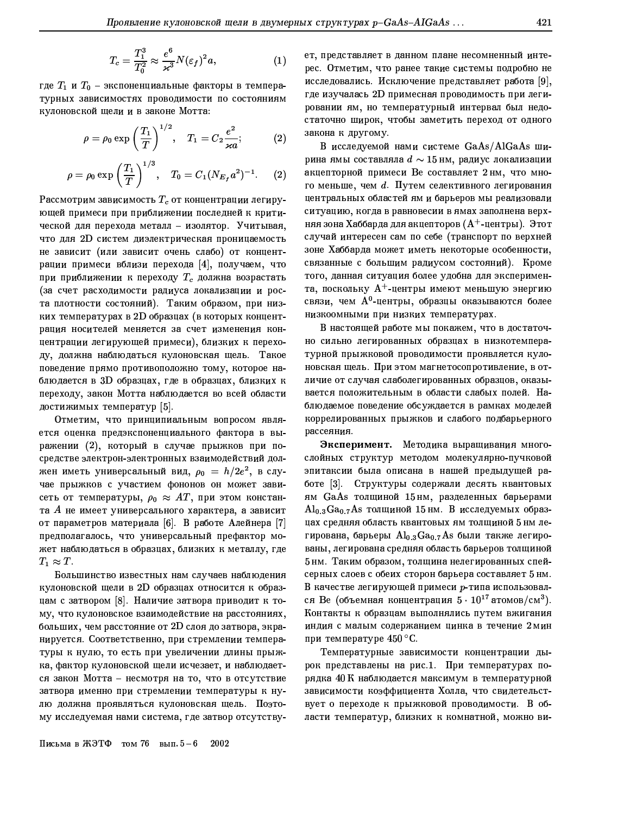$$
T_c = \frac{T_1^3}{T_0^2} \approx \frac{e^6}{\varkappa^3} N(\varepsilon_f)^2 a,\tag{1}
$$

где  $T_1$  и  $T_0$  – экспоненциальные факторы в температурных зависимостях проводимости по состояниям кулоновской щели и в законе Мотта:

$$
\rho = \rho_0 \exp\left(\frac{T_1}{T}\right)^{1/2}, \quad T_1 = C_2 \frac{e^2}{\varkappa a}; \quad (2)
$$

$$
\rho = \rho_0 \exp\left(\frac{T_1}{T}\right)^{1/3}, \quad T_0 = C_1 (N_{E_f} a^2)^{-1}.
$$
 (2)

Рассмотрим зависимость  $T_c$  от концентрации легирующей примеси при приближении последней к критической для перехода металл - изолятор. Учитывая, что для 2D систем диэлектрическая проницаемость не зависит (или зависит очень слабо) от концентрации примеси вблизи перехода [4], получаем, что при приближении к переходу  $T_c$  должна возрастать (за счет расходимости радиуса локализации и роста плотности состояний). Таким образом, при низких температурах в 2D образцах (в которых концентрация носителей меняется за счет изменения концентрации легирующей примеси), близких к переходу, должна наблюдаться кулоновская щель. Такое поведение прямо противоположно тому, которое наблюдается в 3D образцах, где в образцах, близких к переходу, закон Мотта наблюдается во всей области достижимых температур [5].

Отметим, что принципиальным вопросом является оценка предэкспоненциального фактора в выражении (2), который в случае прыжков при посредстве электрон-электронных взаимодействий должен иметь универсальный вид,  $\rho_0 = h/2e^2$ , в случае прыжков с участием фононов он может зависеть от температуры,  $\rho_0 \approx AT$ , при этом константа А не имеет универсального характера, а зависит от параметров материала [6]. В работе Алейнера [7] предполагалось, что универсальный префактор может наблюдаться в образцах, близких к металлу, где  $T_1 \approx T$ .

Большинство известных нам случаев наблюдения кулоновской щели в 2D образцах относится к образцам с затвором [8]. Наличие затвора приводит к тому, что кулоновское взаимодействие на расстояниях, больших, чем расстояние от 2D слоя до затвора, экранируется. Соответственно, при стремлении температуры к нулю, то есть при увеличении длины прыжка, фактор кулоновской щели исчезает, и наблюдается закон Мотта - несмотря на то, что в отсутствие затвора именно при стремлении температуры к нулю должна проявляться кулоновская щель. Поэтому исследуемая нами система, где затвор отсутствует, представляет в данном плане несомненный интерес. Отметим, что ранее такие системы подробно не исследовались. Исключение представляет работа [9], где изучалась 2D примесная проводимость при легировании ям, но температурный интервал был недостаточно широк, чтобы заметить переход от одного закона к другому.

В исследуемой нами системе GaAs/AlGaAs ширина ямы составляла  $d \sim 15$  нм, радиус локализации акцепторной примеси Ве составляет 2 нм, что много меньше, чем d. Путем селективного легирования центральных областей ям и барьеров мы реализовали ситуацию, когда в равновесии в ямах заполнена верхняя зона Хаббарда для акцепторов  $(A^+$ -центры). Этот случай интересен сам по себе (транспорт по верхней зоне Хаббарда может иметь некоторые особенности, связанные с большим радиусом состояний). Кроме того, данная ситуация более удобна для эксперимента, поскольку  $A^+$ -центры имеют меньшую энергию связи, чем А<sup>0</sup>-центры, образцы оказываются более низкоомными при низких температурах.

В настоящей работе мы покажем, что в достаточно сильно легированных образцах в низкотемпературной прыжковой проводимости проявляется кулоновская щель. При этом магнетосопротивление, в отличие от случая слаболегированных образцов, оказывается положительным в области слабых полей. Наблюдаемое поведение обсуждается в рамках моделей коррелированных прыжков и слабого подбарьерного рассеяния.

Эксперимент. Методика выращивания многослойных структур методом молекулярно-пучковой эпитаксии была описана в нашей предыдущей работе [3]. Структуры содержали десять квантовых ям GaAs толщиной 15 нм, разделенных барьерами  $Al_{0.3}Ga_{0.7}As$  толщиной 15 нм. В исследуемых образцах средняя область квантовых ям толщиной 5 нм легирована, барьеры  $\mathrm{Al}_{0.3}\mathrm{Ga}_{0.7}\mathrm{As}$  были также легированы, легирована средняя область барьеров толщиной 5 нм. Таким образом, толщина нелегированных спейсерных слоев с обеих сторон барьера составляет 5 нм. В качестве легирующей примеси р-типа использовался Ве (объемная концентрация  $5 \cdot 10^{17}$  атомов/см<sup>3</sup>). Контакты к образцам выполнялись путем вжигания индия с малым содержанием цинка в течение 2 мин при температуре 450°С.

Температурные зависимости концентрации дырок представлены на рис.1. При температурах порядка 40 К наблюдается максимум в температурной зависимости коэффициента Холла, что свидетельствует о переходе к прыжковой проводимости. В области температур, близких к комнатной, можно ви-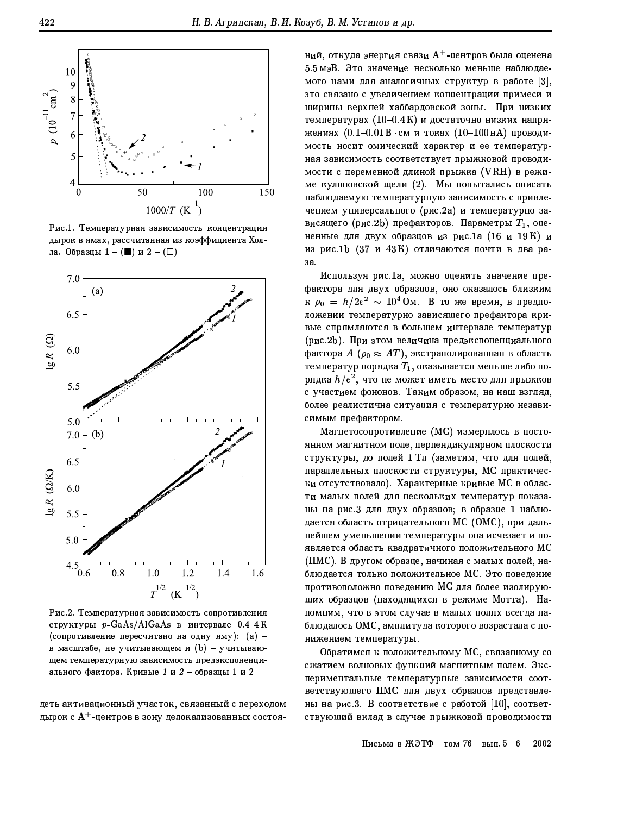

Рис.1. Температурная зависимость концентрации дырок в ямах, рассчитанная из коэффициента Холла. Образцы 1 – ( $\blacksquare$ ) и 2 – ( $\square$ )



Рис. 2. Температурная зависимость сопротивления структуры  $p$ -GaAs/AlGaAs в интервале 0.4-4 К (сопротивление пересчитано на одну яму): (a) в масштабе, не учитывающем и  $(b)$  - учитывающем температурную зависимость предэкспоненциального фактора. Кривые 1 и 2 - образцы 1 и 2

деть активационный участок, связанный с переходом дырок с  $A^+$ -центров в зону делокализованных состояний, откуда энергия связи  $A^+$ -центров была оценена 5.5 мэВ. Это значение несколько меньше наблюдаемого нами для аналогичных структур в работе [3]. это связано с увеличением концентрации примеси и ширины верхней хаббардовской зоны. При низких температурах  $(10-0.4\,\mathrm{K})$  и достаточно низких напряжениях  $(0.1-0.01 B \cdot cM)$  и токах  $(10-100)$  нА) проводимость носит омический характер и ее температурная зависимость соответствует прыжковой проводимости с переменной длиной прыжка (VRH) в режиме кулоновской щели (2). Мы попытались описать наблюдаемую температурную зависимость с привлечением универсального (рис.2а) и температурно зависящего (рис.2b) префакторов. Параметры  $T_1$ , оцененные для двух образцов из рис. 1а (16 и 19К) и из рис.1b (37 и 43 K) отличаются почти в два раза.

Используя рис. 1а, можно оценить значение префактора для двух образцов, оно оказалось близким к  $\rho_0 = h/2e^2 \sim 10^4$  Ом. В то же время, в предположении температурно зависящего префактора кривые спрямляются в большем интервале температур (рис.2b). При этом величина предэкспоненциального фактора  $A$  ( $\rho_0 \approx AT$ ), экстраполированная в область температур порядка  $T_1$ , оказывается меньше либо порядка  $h/e^2$ , что не может иметь место для прыжков с участием фононов. Таким образом, на наш взгляд, более реалистична ситуация с температурно независимым префактором.

Магнетосопротивление (МС) измерялось в постоянном магнитном поле, перпендикулярном плоскости структуры, до полей 1 Тл (заметим, что для полей, параллельных плоскости структуры, МС практически отсутствовало). Характерные кривые МС в области малых полей для нескольких температур показаны на рис.3 для двух образцов; в образце 1 наблюдается область отрицательного МС (ОМС), при дальнейшем уменьшении температуры она исчезает и появляется область квадратичного положительного МС (ПМС). В другом образце, начиная с малых полей, наблюдается только положительное МС. Это поведение противоположно поведению МС для более изолирующих образцов (находящихся в режиме Мотта). Напомним, что в этом случае в малых полях всегда наблюдалось ОМС, амплитуда которого возрастала с понижением температуры.

Обратимся к положительному МС, связанному со сжатием волновых функций магнитным полем. Экспериментальные температурные зависимости соответствующего ПМС для двух образцов представлены на рис.3. В соответствие с работой  $[10]$ , соответствующий вклад в случае прыжковой проводимости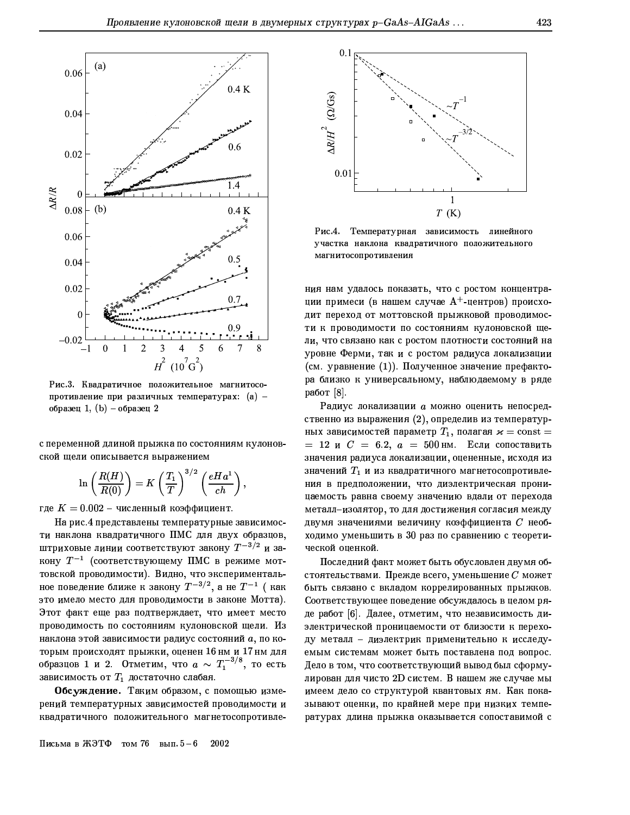

Рис.3. Квадратичное положительное магнитосопротивление при различных температурах: (а) образец 1,  $(b)$  – образец 2

с переменной длиной прыжка по состояниям кулоновской щели описывается выражением

$$
\ln\left(\frac{R(H)}{R(0)}\right)=K\left(\frac{T_1}{T}\right)^{3/2}\left(\frac{eHa^1}{ch}\right),
$$

где  $K = 0.002 -$ численный коэффициент.

На рис. 4 представлены температурные зависимости наклона квадратичного ПМС для двух образцов. штриховые линии соответствуют закону  $T^{-3/2}$  и закону  $T^{-1}$  (соответствующему ПМС в режиме моттовской проводимости). Видно, что экспериментальное поведение ближе к закону  $T^{-3/2},$  а не  $T^{-1}$  (как это имело место для проводимости в законе Мотта). Этот факт еще раз подтверждает, что имеет место проводимость по состояниям кулоновской щели. Из наклона этой зависимости радиус состояний а, по которым происходят прыжки, оценен 16нм и 17нм для образцов 1 и 2. Отметим, что  $a \sim T_1^{-3/8}$ , то есть зависимость от  $T_1$  достаточно слабая.

Обсуждение. Таким образом, с помощью измерений температурных зависимостей проводимости и квадратичного положительного магнетосопротивле-



Рис.4. Температурная зависимость линейного участка наклона квадратичного положительного магнитосопротивления

ния нам удалось показать, что с ростом концентрации примеси (в нашем случае  $A^+$ -центров) происходит переход от моттовской прыжковой проводимости к проводимости по состояниям кулоновской щели, что связано как с ростом плотности состояний на уровне Ферми, так и с ростом радиуса локализации (см. уравнение (1)). Полученное значение префактора близко к универсальному, наблюдаемому в ряде работ  $[8]$ .

Радиус локализации а можно оценить непосредственно из выражения (2), определив из температурных зависимостей параметр  $T_1$ , полагая  $\varkappa = \text{const} =$  $=$  12 и  $C = 6.2$ ,  $a = 500$  нм. Если сопоставить значения радиуса локализации, оцененные, исходя из значений  $T_1$  и из квадратичного магнетосопротивления в предположении, что диэлектрическая проницаемость равна своему значению вдали от перехода металл-изолятор, то для достижения согласия между двумя значениями величину коэффициента  $C$  необходимо уменьшить в 30 раз по сравнению с теоретической оценкой.

Последний факт может быть обусловлен двумя обстоятельствами. Прежде всего, уменьшение  $C$  может быть связано с вкладом коррелированных прыжков. Соответствующее поведение обсуждалось в целом ряде работ [6]. Далее, отметим, что независимость диэлектрической проницаемости от близости к переходу металл - диэлектрик применительно к исследуемым системам может быть поставлена под вопрос. Дело в том, что соответствующий вывод был сформулирован для чисто 2D систем. В нашем же случае мы имеем дело со структурой квантовых ям. Как показывают оценки, по крайней мере при низких температурах длина прыжка оказывается сопоставимой с